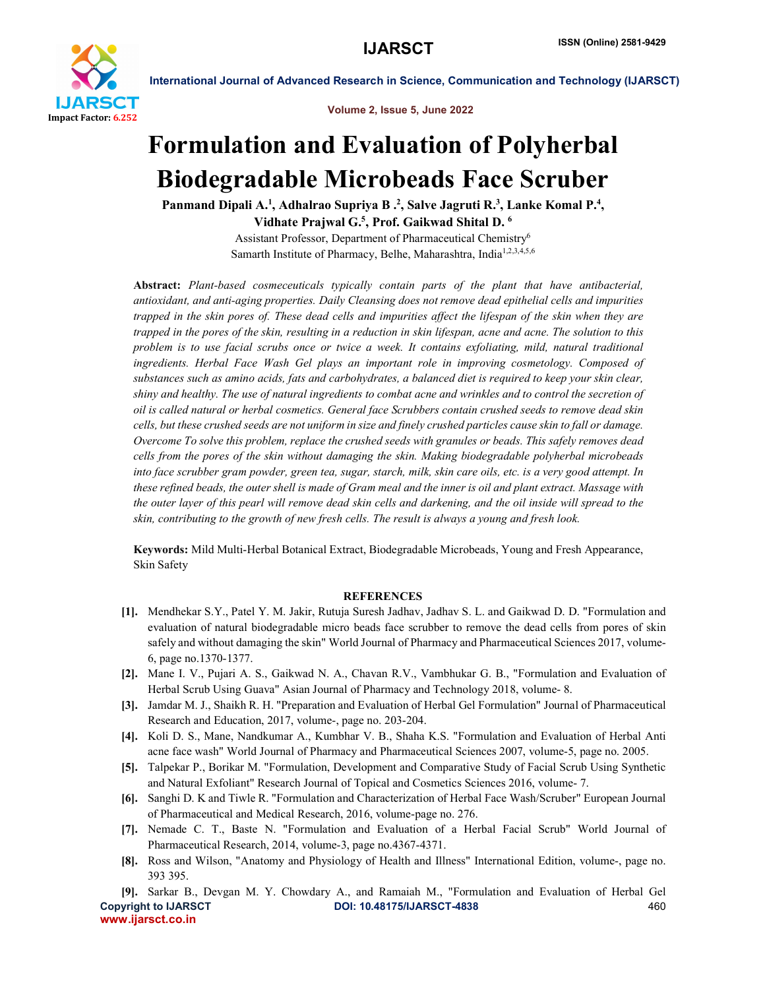

Volume 2, Issue 5, June 2022

International Journal of Advanced Research in Science, Communication and Technology (IJARSCT)

## Formulation and Evaluation of Polyherbal Biodegradable Microbeads Face Scruber

Panmand Dipali A.<sup>1</sup>, Adhalrao Supriya B .<sup>2</sup>, Salve Jagruti R.<sup>3</sup>, Lanke Komal P.<sup>4</sup>, Vidhate Prajwal G.<sup>5</sup>, Prof. Gaikwad Shital D.  $^6$ 

> Assistant Professor, Department of Pharmaceutical Chemistry6 Samarth Institute of Pharmacy, Belhe, Maharashtra, India<sup>1,2,3,4,5,6</sup>

Abstract: *Plant-based cosmeceuticals typically contain parts of the plant that have antibacterial, antioxidant, and anti-aging properties. Daily Cleansing does not remove dead epithelial cells and impurities trapped in the skin pores of. These dead cells and impurities affect the lifespan of the skin when they are trapped in the pores of the skin, resulting in a reduction in skin lifespan, acne and acne. The solution to this problem is to use facial scrubs once or twice a week. It contains exfoliating, mild, natural traditional ingredients. Herbal Face Wash Gel plays an important role in improving cosmetology. Composed of substances such as amino acids, fats and carbohydrates, a balanced diet is required to keep your skin clear, shiny and healthy. The use of natural ingredients to combat acne and wrinkles and to control the secretion of oil is called natural or herbal cosmetics. General face Scrubbers contain crushed seeds to remove dead skin cells, but these crushed seeds are not uniform in size and finely crushed particles cause skin to fall or damage. Overcome To solve this problem, replace the crushed seeds with granules or beads. This safely removes dead cells from the pores of the skin without damaging the skin. Making biodegradable polyherbal microbeads into face scrubber gram powder, green tea, sugar, starch, milk, skin care oils, etc. is a very good attempt. In these refined beads, the outer shell is made of Gram meal and the inner is oil and plant extract. Massage with the outer layer of this pearl will remove dead skin cells and darkening, and the oil inside will spread to the skin, contributing to the growth of new fresh cells. The result is always a young and fresh look.*

Keywords: Mild Multi-Herbal Botanical Extract, Biodegradable Microbeads, Young and Fresh Appearance, Skin Safety

## **REFERENCES**

- [1]. Mendhekar S.Y., Patel Y. M. Jakir, Rutuja Suresh Jadhav, Jadhav S. L. and Gaikwad D. D. "Formulation and evaluation of natural biodegradable micro beads face scrubber to remove the dead cells from pores of skin safely and without damaging the skin" World Journal of Pharmacy and Pharmaceutical Sciences 2017, volume-6, page no.1370-1377.
- [2]. Mane I. V., Pujari A. S., Gaikwad N. A., Chavan R.V., Vambhukar G. B., "Formulation and Evaluation of Herbal Scrub Using Guava" Asian Journal of Pharmacy and Technology 2018, volume- 8.
- [3]. Jamdar M. J., Shaikh R. H. "Preparation and Evaluation of Herbal Gel Formulation" Journal of Pharmaceutical Research and Education, 2017, volume-, page no. 203-204.
- [4]. Koli D. S., Mane, Nandkumar A., Kumbhar V. B., Shaha K.S. "Formulation and Evaluation of Herbal Anti acne face wash" World Journal of Pharmacy and Pharmaceutical Sciences 2007, volume-5, page no. 2005.
- [5]. Talpekar P., Borikar M. "Formulation, Development and Comparative Study of Facial Scrub Using Synthetic and Natural Exfoliant" Research Journal of Topical and Cosmetics Sciences 2016, volume- 7.
- [6]. Sanghi D. K and Tiwle R. "Formulation and Characterization of Herbal Face Wash/Scruber" European Journal of Pharmaceutical and Medical Research, 2016, volume-page no. 276.
- [7]. Nemade C. T., Baste N. "Formulation and Evaluation of a Herbal Facial Scrub" World Journal of Pharmaceutical Research, 2014, volume-3, page no.4367-4371.
- [8]. Ross and Wilson, "Anatomy and Physiology of Health and Illness" International Edition, volume-, page no. 393 395.
- Copyright to IJARSCT DOI: 10.48175/IJARSCT-4838 460 www.ijarsct.co.in [9]. Sarkar B., Devgan M. Y. Chowdary A., and Ramaiah M., "Formulation and Evaluation of Herbal Gel